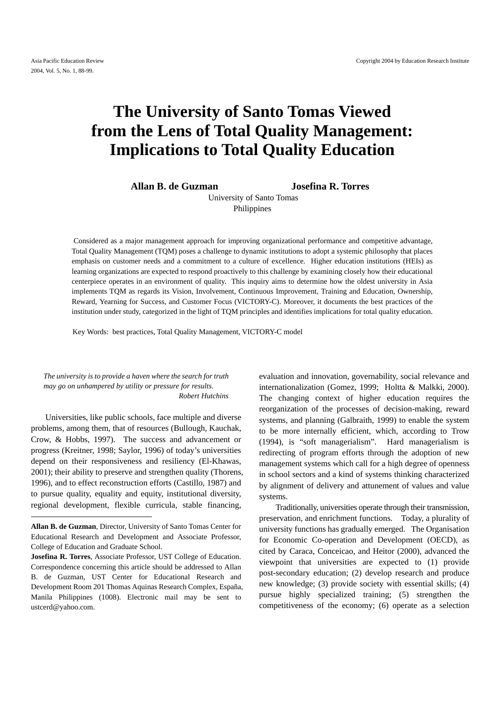# **The University of Santo Tomas Viewed from the Lens of Total Quality Management: Implications to Total Quality Education**

**Allan B. de Guzman Josefina R. Torres** 

University of Santo Tomas Philippines

 Considered as a major management approach for improving organizational performance and competitive advantage, Total Quality Management (TQM) poses a challenge to dynamic institutions to adopt a systemic philosophy that places emphasis on customer needs and a commitment to a culture of excellence. Higher education institutions (HEIs) as learning organizations are expected to respond proactively to this challenge by examining closely how their educational centerpiece operates in an environment of quality. This inquiry aims to determine how the oldest university in Asia implements TQM as regards its Vision, Involvement, Continuous Improvement, Training and Education, Ownership, Reward, Yearning for Success, and Customer Focus (VICTORY-C). Moreover, it documents the best practices of the institution under study, categorized in the light of TQM principles and identifies implications for total quality education.

Key Words: best practices, Total Quality Management, VICTORY-C model

*The university is to provide a haven where the search for truth may go on unhampered by utility or pressure for results*. *Robert Hutchins* 

 Universities, like public schools, face multiple and diverse problems, among them, that of resources (Bullough, Kauchak, Crow, & Hobbs, 1997). The success and advancement or progress (Kreitner, 1998; Saylor, 1996) of today's universities depend on their responsiveness and resiliency (El-Khawas, 2001); their ability to preserve and strengthen quality (Thorens, 1996), and to effect reconstruction efforts (Castillo, 1987) and to pursue quality, equality and equity, institutional diversity, regional development, flexible curricula, stable financing,

evaluation and innovation, governability, social relevance and internationalization (Gomez, 1999; Holtta & Malkki, 2000). The changing context of higher education requires the reorganization of the processes of decision-making, reward systems, and planning (Galbraith, 1999) to enable the system to be more internally efficient, which, according to Trow (1994), is "soft managerialism". Hard managerialism is redirecting of program efforts through the adoption of new management systems which call for a high degree of openness in school sectors and a kind of systems thinking characterized by alignment of delivery and attunement of values and value systems.

Traditionally, universities operate through their transmission, preservation, and enrichment functions. Today, a plurality of university functions has gradually emerged. The Organisation for Economic Co-operation and Development (OECD), as cited by Caraca, Conceicao, and Heitor (2000), advanced the viewpoint that universities are expected to (1) provide post-secondary education; (2) develop research and produce new knowledge; (3) provide society with essential skills; (4) pursue highly specialized training; (5) strengthen the competitiveness of the economy; (6) operate as a selection

**Allan B. de Guzman**, Director, University of Santo Tomas Center for Educational Research and Development and Associate Professor, College of Education and Graduate School.

**Josefina R. Torres**, Associate Professor, UST College of Education. Correspondence concerning this article should be addressed to Allan B. de Guzman, UST Center for Educational Research and Development Room 201 Thomas Aquinas Research Complex, España, Manila Philippines (1008). Electronic mail may be sent to ustcerd@yahoo.com.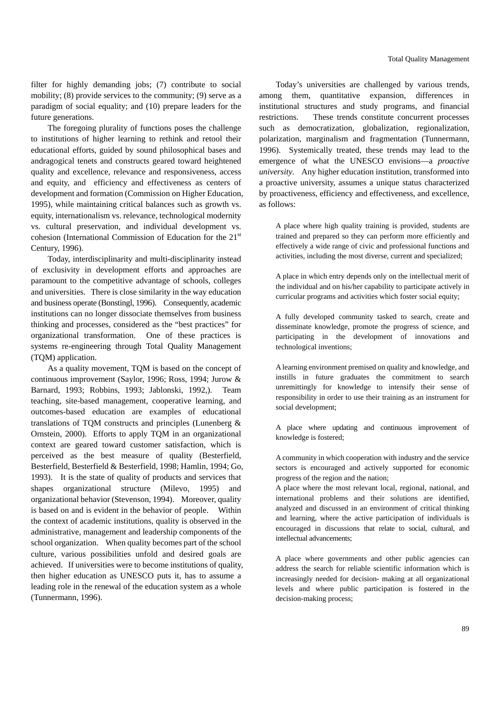filter for highly demanding jobs; (7) contribute to social mobility; (8) provide services to the community; (9) serve as a paradigm of social equality; and (10) prepare leaders for the future generations.

The foregoing plurality of functions poses the challenge to institutions of higher learning to rethink and retool their educational efforts, guided by sound philosophical bases and andragogical tenets and constructs geared toward heightened quality and excellence, relevance and responsiveness, access and equity, and efficiency and effectiveness as centers of development and formation (Commission on Higher Education, 1995), while maintaining critical balances such as growth vs. equity, internationalism vs. relevance, technological modernity vs. cultural preservation, and individual development vs. cohesion (International Commission of Education for the 21<sup>st</sup> Century, 1996).

Today, interdisciplinarity and multi-disciplinarity instead of exclusivity in development efforts and approaches are paramount to the competitive advantage of schools, colleges and universities. There is close similarity in the way education and business operate (Bonstingl, 1996). Consequently, academic institutions can no longer dissociate themselves from business thinking and processes, considered as the "best practices" for organizational transformation. One of these practices is systems re-engineering through Total Quality Management (TQM) application.

As a quality movement, TQM is based on the concept of continuous improvement (Saylor, 1996; Ross, 1994; Jurow & Barnard, 1993; Robbins, 1993; Jablonski, 1992,). Team teaching, site-based management, cooperative learning, and outcomes-based education are examples of educational translations of TQM constructs and principles (Lunenberg & Ornstein, 2000). Efforts to apply TQM in an organizational context are geared toward customer satisfaction, which is perceived as the best measure of quality (Besterfield, Besterfield, Besterfield & Besterfield, 1998; Hamlin, 1994; Go, 1993). It is the state of quality of products and services that shapes organizational structure (Milevo, 1995) and organizational behavior (Stevenson, 1994). Moreover, quality is based on and is evident in the behavior of people. Within the context of academic institutions, quality is observed in the administrative, management and leadership components of the school organization. When quality becomes part of the school culture, various possibilities unfold and desired goals are achieved. If universities were to become institutions of quality, then higher education as UNESCO puts it, has to assume a leading role in the renewal of the education system as a whole (Tunnermann, 1996).

Today's universities are challenged by various trends, among them, quantitative expansion, differences in institutional structures and study programs, and financial restrictions. These trends constitute concurrent processes such as democratization, globalization, regionalization, polarization, marginalism and fragmentation (Tunnermann, 1996). Systemically treated, these trends may lead to the emergence of what the UNESCO envisions—a *proactive university*. Any higher education institution, transformed into a proactive university, assumes a unique status characterized by proactiveness, efficiency and effectiveness, and excellence, as follows:

A place where high quality training is provided, students are trained and prepared so they can perform more efficiently and effectively a wide range of civic and professional functions and activities, including the most diverse, current and specialized;

A place in which entry depends only on the intellectual merit of the individual and on his/her capability to participate actively in curricular programs and activities which foster social equity;

A fully developed community tasked to search, create and disseminate knowledge, promote the progress of science, and participating in the development of innovations and technological inventions;

A learning environment premised on quality and knowledge, and instills in future graduates the commitment to search unremittingly for knowledge to intensify their sense of responsibility in order to use their training as an instrument for social development;

A place where updating and continuous improvement of knowledge is fostered;

A community in which cooperation with industry and the service sectors is encouraged and actively supported for economic progress of the region and the nation;

A place where the most relevant local, regional, national, and international problems and their solutions are identified, analyzed and discussed in an environment of critical thinking and learning, where the active participation of individuals is encouraged in discussions that relate to social, cultural, and intellectual advancements;

A place where governments and other public agencies can address the search for reliable scientific information which is increasingly needed for decision- making at all organizational levels and where public participation is fostered in the decision-making process;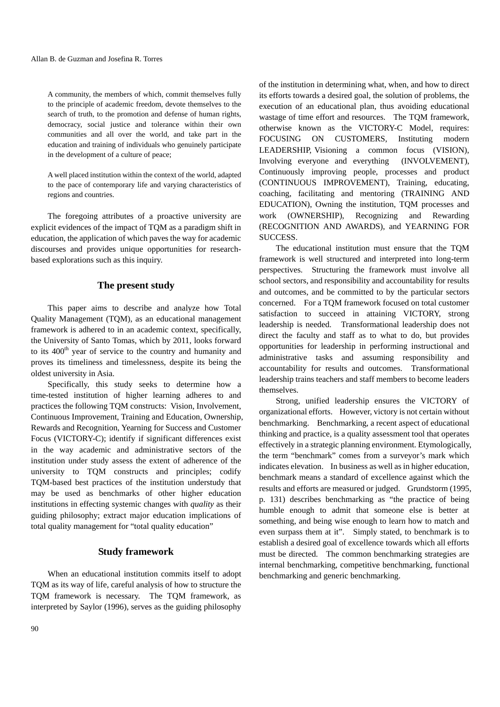A community, the members of which, commit themselves fully to the principle of academic freedom, devote themselves to the search of truth, to the promotion and defense of human rights, democracy, social justice and tolerance within their own communities and all over the world, and take part in the education and training of individuals who genuinely participate in the development of a culture of peace;

A well placed institution within the context of the world, adapted to the pace of contemporary life and varying characteristics of regions and countries.

The foregoing attributes of a proactive university are explicit evidences of the impact of TQM as a paradigm shift in education, the application of which paves the way for academic discourses and provides unique opportunities for researchbased explorations such as this inquiry.

#### **The present study**

This paper aims to describe and analyze how Total Quality Management (TQM), as an educational management framework is adhered to in an academic context, specifically, the University of Santo Tomas, which by 2011, looks forward to its 400<sup>th</sup> year of service to the country and humanity and proves its timeliness and timelessness, despite its being the oldest university in Asia.

Specifically, this study seeks to determine how a time-tested institution of higher learning adheres to and practices the following TQM constructs: Vision, Involvement, Continuous Improvement, Training and Education, Ownership, Rewards and Recognition, Yearning for Success and Customer Focus (VICTORY-C); identify if significant differences exist in the way academic and administrative sectors of the institution under study assess the extent of adherence of the university to TQM constructs and principles; codify TQM-based best practices of the institution understudy that may be used as benchmarks of other higher education institutions in effecting systemic changes with *quality* as their guiding philosophy; extract major education implications of total quality management for "total quality education"

#### **Study framework**

When an educational institution commits itself to adopt TQM as its way of life, careful analysis of how to structure the TQM framework is necessary. The TQM framework, as interpreted by Saylor (1996), serves as the guiding philosophy

of the institution in determining what, when, and how to direct its efforts towards a desired goal, the solution of problems, the execution of an educational plan, thus avoiding educational wastage of time effort and resources. The TQM framework, otherwise known as the VICTORY-C Model, requires: FOCUSING ON CUSTOMERS, Instituting modern LEADERSHIP, Visioning a common focus (VISION), Involving everyone and everything (INVOLVEMENT), Continuously improving people, processes and product (CONTINUOUS IMPROVEMENT), Training, educating, coaching, facilitating and mentoring (TRAINING AND EDUCATION), Owning the institution, TQM processes and work (OWNERSHIP), Recognizing and Rewarding (RECOGNITION AND AWARDS), and YEARNING FOR SUCCESS.

The educational institution must ensure that the TQM framework is well structured and interpreted into long-term perspectives. Structuring the framework must involve all school sectors, and responsibility and accountability for results and outcomes, and be committed to by the particular sectors concerned. For a TQM framework focused on total customer satisfaction to succeed in attaining VICTORY, strong leadership is needed. Transformational leadership does not direct the faculty and staff as to what to do, but provides opportunities for leadership in performing instructional and administrative tasks and assuming responsibility and accountability for results and outcomes. Transformational leadership trains teachers and staff members to become leaders themselves.

Strong, unified leadership ensures the VICTORY of organizational efforts. However, victory is not certain without benchmarking. Benchmarking, a recent aspect of educational thinking and practice, is a quality assessment tool that operates effectively in a strategic planning environment. Etymologically, the term "benchmark" comes from a surveyor's mark which indicates elevation. In business as well as in higher education, benchmark means a standard of excellence against which the results and efforts are measured or judged. Grundstorm (1995, p. 131) describes benchmarking as "the practice of being humble enough to admit that someone else is better at something, and being wise enough to learn how to match and even surpass them at it". Simply stated, to benchmark is to establish a desired goal of excellence towards which all efforts must be directed. The common benchmarking strategies are internal benchmarking, competitive benchmarking, functional benchmarking and generic benchmarking.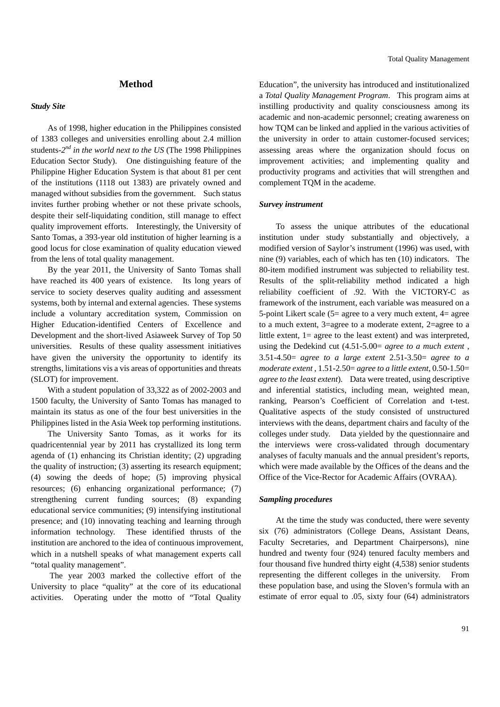#### **Method**

#### *Study Site*

As of 1998, higher education in the Philippines consisted of 1383 colleges and universities enrolling about 2.4 million students-*2nd in the world next to the US* (The 1998 Philippines Education Sector Study). One distinguishing feature of the Philippine Higher Education System is that about 81 per cent of the institutions (1118 out 1383) are privately owned and managed without subsidies from the government. Such status invites further probing whether or not these private schools, despite their self-liquidating condition, still manage to effect quality improvement efforts. Interestingly, the University of Santo Tomas, a 393-year old institution of higher learning is a good locus for close examination of quality education viewed from the lens of total quality management.

By the year 2011, the University of Santo Tomas shall have reached its 400 years of existence. Its long years of service to society deserves quality auditing and assessment systems, both by internal and external agencies. These systems include a voluntary accreditation system, Commission on Higher Education-identified Centers of Excellence and Development and the short-lived Asiaweek Survey of Top 50 universities. Results of these quality assessment initiatives have given the university the opportunity to identify its strengths, limitations vis a vis areas of opportunities and threats (SLOT) for improvement.

With a student population of 33,322 as of 2002-2003 and 1500 faculty, the University of Santo Tomas has managed to maintain its status as one of the four best universities in the Philippines listed in the Asia Week top performing institutions.

The University Santo Tomas, as it works for its quadricentennial year by 2011 has crystallized its long term agenda of (1) enhancing its Christian identity; (2) upgrading the quality of instruction; (3) asserting its research equipment; (4) sowing the deeds of hope; (5) improving physical resources; (6) enhancing organizational performance; (7) strengthening current funding sources; (8) expanding educational service communities; (9) intensifying institutional presence; and (10) innovating teaching and learning through information technology. These identified thrusts of the institution are anchored to the idea of continuous improvement, which in a nutshell speaks of what management experts call "total quality management".

 The year 2003 marked the collective effort of the University to place "quality" at the core of its educational activities. Operating under the motto of "Total Quality Education", the university has introduced and institutionalized a *Total Quality Management Program*. This program aims at instilling productivity and quality consciousness among its academic and non-academic personnel; creating awareness on how TQM can be linked and applied in the various activities of the university in order to attain customer-focused services; assessing areas where the organization should focus on improvement activities; and implementing quality and productivity programs and activities that will strengthen and complement TQM in the academe.

#### *Survey instrument*

To assess the unique attributes of the educational institution under study substantially and objectively, a modified version of Saylor's instrument (1996) was used, with nine (9) variables, each of which has ten (10) indicators. The 80-item modified instrument was subjected to reliability test. Results of the split-reliability method indicated a high reliability coefficient of .92. With the VICTORY-C as framework of the instrument, each variable was measured on a 5-point Likert scale (5= agree to a very much extent, 4= agree to a much extent, 3=agree to a moderate extent, 2=agree to a little extent, 1= agree to the least extent) and was interpreted, using the Dedekind cut (4.51-5.00= *agree to a much extent* , 3.51-4.50= *agree to a large extent* 2.51-3.50= *agree to a moderate extent* , 1.51-2.50= *agree to a little extent*, 0.50-1.50= *agree to the least extent*). Data were treated, using descriptive and inferential statistics, including mean, weighted mean, ranking, Pearson's Coefficient of Correlation and t-test. Qualitative aspects of the study consisted of unstructured interviews with the deans, department chairs and faculty of the colleges under study. Data yielded by the questionnaire and the interviews were cross-validated through documentary analyses of faculty manuals and the annual president's reports, which were made available by the Offices of the deans and the Office of the Vice-Rector for Academic Affairs (OVRAA).

## *Sampling procedures*

At the time the study was conducted, there were seventy six (76) administrators (College Deans, Assistant Deans, Faculty Secretaries, and Department Chairpersons), nine hundred and twenty four (924) tenured faculty members and four thousand five hundred thirty eight (4,538) senior students representing the different colleges in the university. From these population base, and using the Sloven's formula with an estimate of error equal to .05, sixty four (64) administrators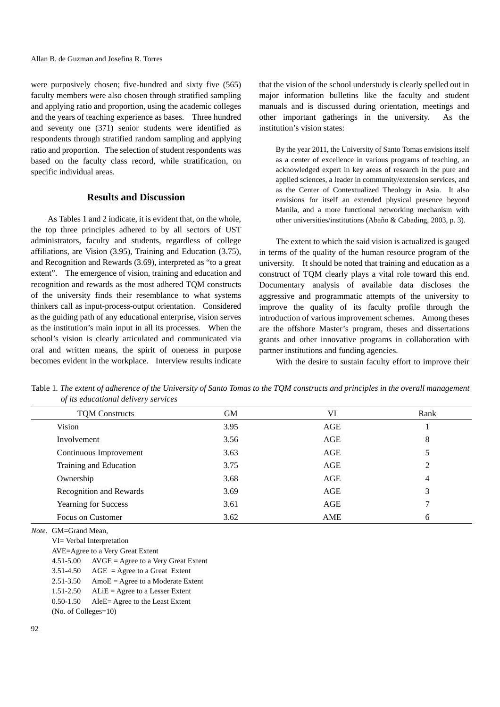were purposively chosen; five-hundred and sixty five (565) faculty members were also chosen through stratified sampling and applying ratio and proportion, using the academic colleges and the years of teaching experience as bases. Three hundred and seventy one (371) senior students were identified as respondents through stratified random sampling and applying ratio and proportion. The selection of student respondents was based on the faculty class record, while stratification, on specific individual areas.

# **Results and Discussion**

As Tables 1 and 2 indicate, it is evident that, on the whole, the top three principles adhered to by all sectors of UST administrators, faculty and students, regardless of college affiliations, are Vision (3.95), Training and Education (3.75), and Recognition and Rewards (3.69), interpreted as "to a great extent". The emergence of vision, training and education and recognition and rewards as the most adhered TQM constructs of the university finds their resemblance to what systems thinkers call as input-process-output orientation. Considered as the guiding path of any educational enterprise, vision serves as the institution's main input in all its processes. When the school's vision is clearly articulated and communicated via oral and written means, the spirit of oneness in purpose becomes evident in the workplace. Interview results indicate

that the vision of the school understudy is clearly spelled out in major information bulletins like the faculty and student manuals and is discussed during orientation, meetings and other important gatherings in the university. As the institution's vision states:

By the year 2011, the University of Santo Tomas envisions itself as a center of excellence in various programs of teaching, an acknowledged expert in key areas of research in the pure and applied sciences, a leader in community/extension services, and as the Center of Contextualized Theology in Asia. It also envisions for itself an extended physical presence beyond Manila, and a more functional networking mechanism with other universities/institutions (Abaño & Cabading, 2003, p. 3).

The extent to which the said vision is actualized is gauged in terms of the quality of the human resource program of the university. It should be noted that training and education as a construct of TQM clearly plays a vital role toward this end. Documentary analysis of available data discloses the aggressive and programmatic attempts of the university to improve the quality of its faculty profile through the introduction of various improvement schemes. Among theses are the offshore Master's program, theses and dissertations grants and other innovative programs in collaboration with partner institutions and funding agencies.

With the desire to sustain faculty effort to improve their

Table 1*. The extent of adherence of the University of Santo Tomas to the TQM constructs and principles in the overall management of its educational delivery services* 

| <b>TOM Constructs</b>          | <b>GM</b> | VI         | Rank |
|--------------------------------|-----------|------------|------|
| Vision                         | 3.95      | AGE        |      |
| Involvement                    | 3.56      | AGE        | 8    |
| Continuous Improvement         | 3.63      | AGE        |      |
| Training and Education         | 3.75      | AGE        | 2    |
| Ownership                      | 3.68      | AGE        | 4    |
| <b>Recognition and Rewards</b> | 3.69      | AGE        | 3    |
| <b>Yearning for Success</b>    | 3.61      | AGE        |      |
| Focus on Customer              | 3.62      | <b>AME</b> | 6    |

*Note.* GM=Grand Mean,

VI= Verbal Interpretation

AVE=Agree to a Very Great Extent

 $4.51-5.00$  AVGE = Agree to a Very Great Extent

 $3.51-4.50$  AGE = Agree to a Great Extent

 $2.51-3.50$  AmoE = Agree to a Moderate Extent

1.51-2.50 ALiE = Agree to a Lesser Extent

0.50-1.50 AleE= Agree to the Least Extent

(No. of Colleges=10)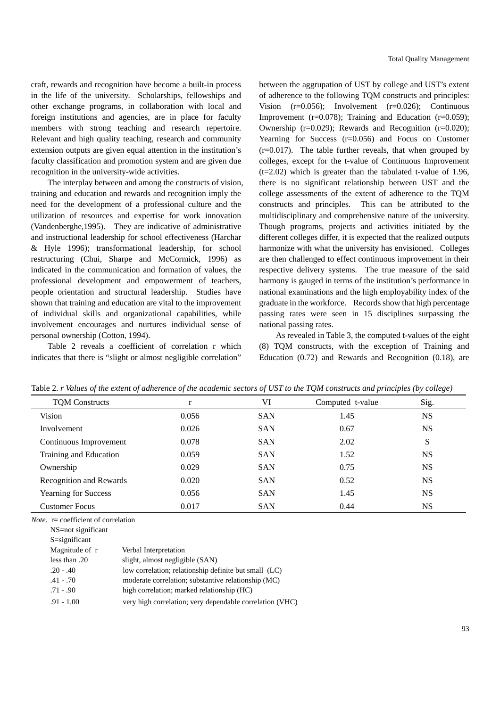craft, rewards and recognition have become a built-in process in the life of the university. Scholarships, fellowships and other exchange programs, in collaboration with local and foreign institutions and agencies, are in place for faculty members with strong teaching and research repertoire. Relevant and high quality teaching, research and community extension outputs are given equal attention in the institution's faculty classification and promotion system and are given due recognition in the university-wide activities.

The interplay between and among the constructs of vision, training and education and rewards and recognition imply the need for the development of a professional culture and the utilization of resources and expertise for work innovation (Vandenberghe,1995). They are indicative of administrative and instructional leadership for school effectiveness (Harchar & Hyle 1996); transformational leadership, for school restructuring (Chui, Sharpe and McCormick, 1996) as indicated in the communication and formation of values, the professional development and empowerment of teachers, people orientation and structural leadership. Studies have shown that training and education are vital to the improvement of individual skills and organizational capabilities, while involvement encourages and nurtures individual sense of personal ownership (Cotton, 1994).

Table 2 reveals a coefficient of correlation r which indicates that there is "slight or almost negligible correlation"

between the aggrupation of UST by college and UST's extent of adherence to the following TQM constructs and principles: Vision (r=0.056); Involvement (r=0.026); Continuous Improvement ( $r=0.078$ ); Training and Education ( $r=0.059$ ); Ownership (r=0.029); Rewards and Recognition (r=0.020); Yearning for Success (r=0.056) and Focus on Customer (r=0.017). The table further reveals, that when grouped by colleges, except for the t-value of Continuous Improvement  $(t=2.02)$  which is greater than the tabulated t-value of 1.96, there is no significant relationship between UST and the college assessments of the extent of adherence to the TQM constructs and principles. This can be attributed to the multidisciplinary and comprehensive nature of the university. Though programs, projects and activities initiated by the different colleges differ, it is expected that the realized outputs harmonize with what the university has envisioned. Colleges are then challenged to effect continuous improvement in their respective delivery systems. The true measure of the said harmony is gauged in terms of the institution's performance in national examinations and the high employability index of the graduate in the workforce. Records show that high percentage passing rates were seen in 15 disciplines surpassing the national passing rates.

As revealed in Table 3, the computed t-values of the eight (8) TQM constructs, with the exception of Training and Education (0.72) and Rewards and Recognition (0.18), are

| <b>TQM Constructs</b>       |       | VI         | Computed t-value | Sig.      |  |
|-----------------------------|-------|------------|------------------|-----------|--|
| Vision                      | 0.056 | <b>SAN</b> | 1.45             | <b>NS</b> |  |
| Involvement                 | 0.026 | <b>SAN</b> | 0.67             | <b>NS</b> |  |
| Continuous Improvement      | 0.078 | <b>SAN</b> | 2.02             | S         |  |
| Training and Education      | 0.059 | <b>SAN</b> | 1.52             | <b>NS</b> |  |
| Ownership                   | 0.029 | <b>SAN</b> | 0.75             | <b>NS</b> |  |
| Recognition and Rewards     | 0.020 | <b>SAN</b> | 0.52             | <b>NS</b> |  |
| <b>Yearning for Success</b> | 0.056 | <b>SAN</b> | 1.45             | <b>NS</b> |  |
| <b>Customer Focus</b>       | 0.017 | <b>SAN</b> | 0.44             | NS        |  |

Table 2. *r Values of the extent of adherence of the academic sectors of UST to the TQM constructs and principles (by college)* 

*Note.* **r**= coefficient of correlation

NS=not significant

| $S =$ significant |                                                          |
|-------------------|----------------------------------------------------------|
| Magnitude of r    | Verbal Interpretation                                    |
| less than .20     | slight, almost negligible (SAN)                          |
| $.20 - .40$       | low correlation; relationship definite but small (LC)    |
| $.41 - .70$       | moderate correlation; substantive relationship (MC)      |
| $.71 - .90$       | high correlation; marked relationship (HC)               |
| $.91 - 1.00$      | very high correlation; very dependable correlation (VHC) |
|                   |                                                          |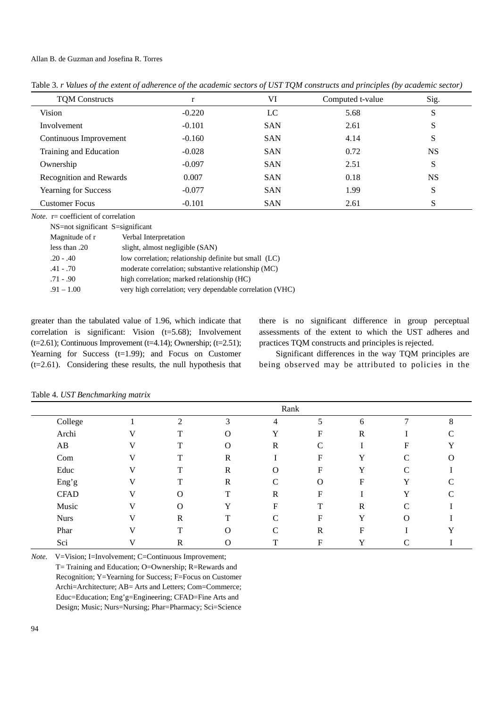|                                |          | $\cdot$    |                  |           |
|--------------------------------|----------|------------|------------------|-----------|
| <b>TQM Constructs</b>          |          | VI         | Computed t-value | Sig.      |
| Vision                         | $-0.220$ | LC         | 5.68             | S         |
| Involvement                    | $-0.101$ | <b>SAN</b> | 2.61             | S         |
| Continuous Improvement         | $-0.160$ | <b>SAN</b> | 4.14             | S         |
| Training and Education         | $-0.028$ | <b>SAN</b> | 0.72             | <b>NS</b> |
| Ownership                      | $-0.097$ | <b>SAN</b> | 2.51             | S         |
| <b>Recognition and Rewards</b> | 0.007    | <b>SAN</b> | 0.18             | <b>NS</b> |
| <b>Yearning for Success</b>    | $-0.077$ | <b>SAN</b> | 1.99             | S         |
| <b>Customer Focus</b>          | $-0.101$ | <b>SAN</b> | 2.61             | S         |

Table 3. *r Values of the extent of adherence of the academic sectors of UST TQM constructs and principles (by academic sector)* 

*Note.* r= coefficient of correlation

| NS=not significant S=significant |                                                          |
|----------------------------------|----------------------------------------------------------|
| Magnitude of r                   | Verbal Interpretation                                    |
| less than .20                    | slight, almost negligible (SAN)                          |
| $.20 - .40$                      | low correlation; relationship definite but small (LC)    |
| $.41 - .70$                      | moderate correlation; substantive relationship (MC)      |
| $.71 - .90$                      | high correlation; marked relationship (HC)               |
| $.91 - 1.00$                     | very high correlation; very dependable correlation (VHC) |
|                                  |                                                          |

greater than the tabulated value of 1.96, which indicate that correlation is significant: Vision (t=5.68); Involvement (t=2.61); Continuous Improvement (t=4.14); Ownership; (t=2.51); Yearning for Success (t=1.99); and Focus on Customer (t=2.61). Considering these results, the null hypothesis that there is no significant difference in group perceptual assessments of the extent to which the UST adheres and practices TQM constructs and principles is rejected.

Significant differences in the way TQM principles are being observed may be attributed to policies in the

|             |   |             |              | Rank                      |             |              |               |    |
|-------------|---|-------------|--------------|---------------------------|-------------|--------------|---------------|----|
| College     |   | ↑           | 3            | 4                         | 5           | 6            | $\mathbf{r}$  | 8  |
| Archi       | V | T           | $\Omega$     | Y                         | F           | $\mathbb{R}$ |               |    |
| AB          | V | T           | $\Omega$     | $\mathbb{R}$              | C           |              | F             | ٦z |
| Com         | V | T           | $\mathbb{R}$ |                           | F           | Y            | $\mathsf{C}$  | O  |
| Educ        | V | T           | $\mathbb{R}$ | $\Omega$                  | F           | Y            | $\mathsf{C}$  |    |
| Eng'g       | V | T           | $\mathbb{R}$ | C                         | O           | F            | Y             |    |
| <b>CFAD</b> | V | $\Omega$    | T            | $\mathbb{R}$              | F           |              | Y             |    |
| Music       | V | $\Omega$    | Y            | $\boldsymbol{\mathrm{F}}$ | T           | $\mathbb{R}$ | $\mathcal{C}$ |    |
| <b>Nurs</b> | V | $\mathbf R$ | T            | C                         | $\mathbf F$ | Y            | $\Omega$      |    |
| Phar        | V | T           | $\Omega$     | C                         | $\mathbf R$ | F            |               |    |
| Sci         | V | $\mathbb R$ | $\Omega$     | T                         | $\mathbf F$ | v<br>1       | C             |    |

Table 4. *UST Benchmarking matrix* 

*Note.* V=Vision; I=Involvement; C=Continuous Improvement; T= Training and Education; O=Ownership; R=Rewards and Recognition; Y=Yearning for Success; F=Focus on Customer Archi=Architecture; AB= Arts and Letters; Com=Commerce; Educ=Education; Eng'g=Engineering; CFAD=Fine Arts and Design; Music; Nurs=Nursing; Phar=Pharmacy; Sci=Science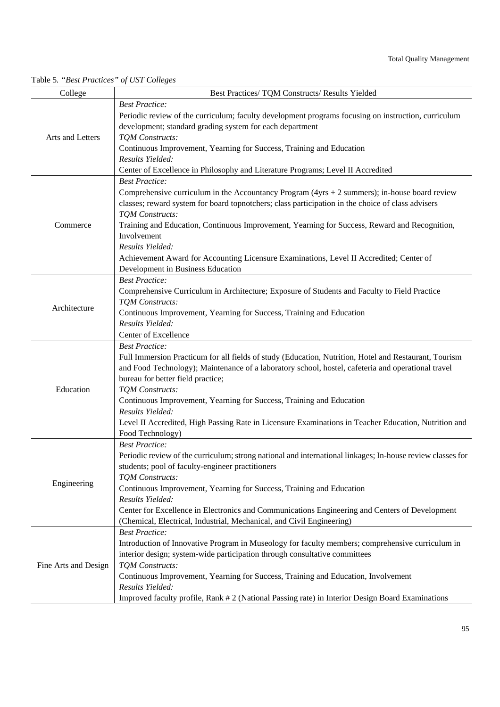| College              | Best Practices/ TQM Constructs/ Results Yielded                                                                           |
|----------------------|---------------------------------------------------------------------------------------------------------------------------|
|                      | <b>Best Practice:</b>                                                                                                     |
|                      | Periodic review of the curriculum; faculty development programs focusing on instruction, curriculum                       |
|                      | development; standard grading system for each department                                                                  |
| Arts and Letters     | TQM Constructs:                                                                                                           |
|                      | Continuous Improvement, Yearning for Success, Training and Education                                                      |
|                      | Results Yielded:                                                                                                          |
|                      | Center of Excellence in Philosophy and Literature Programs; Level II Accredited                                           |
|                      | <b>Best Practice:</b><br>Comprehensive curriculum in the Accountancy Program ( $4yrs + 2$ summers); in-house board review |
|                      | classes; reward system for board topnotchers; class participation in the choice of class advisers                         |
|                      | TQM Constructs:                                                                                                           |
| Commerce             | Training and Education, Continuous Improvement, Yearning for Success, Reward and Recognition,                             |
|                      | Involvement                                                                                                               |
|                      | Results Yielded:                                                                                                          |
|                      | Achievement Award for Accounting Licensure Examinations, Level II Accredited; Center of                                   |
|                      | Development in Business Education                                                                                         |
|                      | <b>Best Practice:</b>                                                                                                     |
|                      | Comprehensive Curriculum in Architecture; Exposure of Students and Faculty to Field Practice                              |
| Architecture         | TQM Constructs:<br>Continuous Improvement, Yearning for Success, Training and Education                                   |
|                      | Results Yielded:                                                                                                          |
|                      | Center of Excellence                                                                                                      |
|                      | <b>Best Practice:</b>                                                                                                     |
|                      | Full Immersion Practicum for all fields of study (Education, Nutrition, Hotel and Restaurant, Tourism                     |
|                      | and Food Technology); Maintenance of a laboratory school, hostel, cafeteria and operational travel                        |
|                      | bureau for better field practice;                                                                                         |
| Education            | TQM Constructs:                                                                                                           |
|                      | Continuous Improvement, Yearning for Success, Training and Education<br>Results Yielded:                                  |
|                      | Level II Accredited, High Passing Rate in Licensure Examinations in Teacher Education, Nutrition and                      |
|                      | Food Technology)                                                                                                          |
|                      | <b>Best Practice:</b>                                                                                                     |
|                      | Periodic review of the curriculum; strong national and international linkages; In-house review classes for                |
|                      | students; pool of faculty-engineer practitioners                                                                          |
| Engineering          | TQM Constructs:                                                                                                           |
|                      | Continuous Improvement, Yearning for Success, Training and Education                                                      |
|                      | Results Yielded:<br>Center for Excellence in Electronics and Communications Engineering and Centers of Development        |
|                      | (Chemical, Electrical, Industrial, Mechanical, and Civil Engineering)                                                     |
| Fine Arts and Design | <b>Best Practice:</b>                                                                                                     |
|                      | Introduction of Innovative Program in Museology for faculty members; comprehensive curriculum in                          |
|                      | interior design; system-wide participation through consultative committees                                                |
|                      | TQM Constructs:                                                                                                           |
|                      | Continuous Improvement, Yearning for Success, Training and Education, Involvement                                         |
|                      | Results Yielded:                                                                                                          |
|                      | Improved faculty profile, Rank #2 (National Passing rate) in Interior Design Board Examinations                           |

# Table 5*. "Best Practices" of UST Colleges*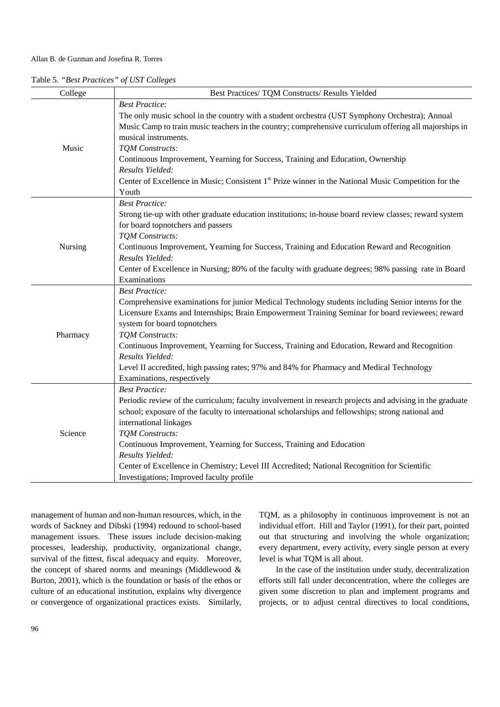|  |  | Table 5. "Best Practices" of UST Colleges |  |  |
|--|--|-------------------------------------------|--|--|
|--|--|-------------------------------------------|--|--|

| College  | Best Practices/ TQM Constructs/ Results Yielded                                                                  |
|----------|------------------------------------------------------------------------------------------------------------------|
|          | <b>Best Practice:</b>                                                                                            |
|          | The only music school in the country with a student orchestra (UST Symphony Orchestra); Annual                   |
|          | Music Camp to train music teachers in the country; comprehensive curriculum offering all majorships in           |
|          | musical instruments.                                                                                             |
| Music    | TQM Constructs:                                                                                                  |
|          | Continuous Improvement, Yearning for Success, Training and Education, Ownership                                  |
|          | Results Yielded:                                                                                                 |
|          | Center of Excellence in Music; Consistent 1 <sup>st</sup> Prize winner in the National Music Competition for the |
|          | Youth                                                                                                            |
|          | <b>Best Practice:</b>                                                                                            |
|          | Strong tie-up with other graduate education institutions; in-house board review classes; reward system           |
|          | for board topnotchers and passers                                                                                |
|          | TQM Constructs:                                                                                                  |
| Nursing  | Continuous Improvement, Yearning for Success, Training and Education Reward and Recognition                      |
|          | Results Yielded:                                                                                                 |
|          | Center of Excellence in Nursing; 80% of the faculty with graduate degrees; 98% passing rate in Board             |
|          | Examinations                                                                                                     |
|          | <b>Best Practice:</b>                                                                                            |
|          | Comprehensive examinations for junior Medical Technology students including Senior interns for the               |
|          | Licensure Exams and Internships; Brain Empowerment Training Seminar for board reviewees; reward                  |
|          | system for board topnotchers<br>TQM Constructs:                                                                  |
| Pharmacy | Continuous Improvement, Yearning for Success, Training and Education, Reward and Recognition                     |
|          | Results Yielded:                                                                                                 |
|          | Level II accredited, high passing rates; 97% and 84% for Pharmacy and Medical Technology                         |
|          | Examinations, respectively                                                                                       |
|          | <b>Best Practice:</b>                                                                                            |
|          | Periodic review of the curriculum; faculty involvement in research projects and advising in the graduate         |
| Science  | school; exposure of the faculty to international scholarships and fellowships; strong national and               |
|          | international linkages                                                                                           |
|          | TQM Constructs:                                                                                                  |
|          | Continuous Improvement, Yearning for Success, Training and Education                                             |
|          | Results Yielded:                                                                                                 |
|          | Center of Excellence in Chemistry; Level III Accredited; National Recognition for Scientific                     |
|          | Investigations; Improved faculty profile                                                                         |

management of human and non-human resources, which, in the words of Sackney and Dibski (1994) redound to school-based management issues. These issues include decision-making processes, leadership, productivity, organizational change, survival of the fittest, fiscal adequacy and equity. Moreover, the concept of shared norms and meanings (Middlewood & Burton, 2001), which is the foundation or basis of the ethos or culture of an educational institution, explains why divergence or convergence of organizational practices exists. Similarly,

TQM, as a philosophy in continuous improvement is not an individual effort. Hill and Taylor (1991), for their part, pointed out that structuring and involving the whole organization; every department, every activity, every single person at every level is what TQM is all about.

In the case of the institution under study, decentralization efforts still fall under deconcentration, where the colleges are given some discretion to plan and implement programs and projects, or to adjust central directives to local conditions,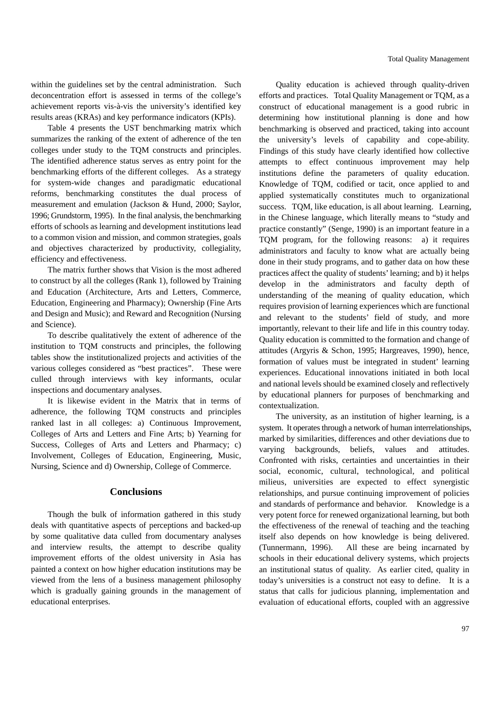within the guidelines set by the central administration. Such deconcentration effort is assessed in terms of the college's achievement reports vis-à-vis the university's identified key results areas (KRAs) and key performance indicators (KPIs).

Table 4 presents the UST benchmarking matrix which summarizes the ranking of the extent of adherence of the ten colleges under study to the TQM constructs and principles. The identified adherence status serves as entry point for the benchmarking efforts of the different colleges. As a strategy for system-wide changes and paradigmatic educational reforms, benchmarking constitutes the dual process of measurement and emulation (Jackson & Hund, 2000; Saylor, 1996; Grundstorm, 1995). In the final analysis, the benchmarking efforts of schools as learning and development institutions lead to a common vision and mission, and common strategies, goals and objectives characterized by productivity, collegiality, efficiency and effectiveness.

The matrix further shows that Vision is the most adhered to construct by all the colleges (Rank 1), followed by Training and Education (Architecture, Arts and Letters, Commerce, Education, Engineering and Pharmacy); Ownership (Fine Arts and Design and Music); and Reward and Recognition (Nursing and Science).

To describe qualitatively the extent of adherence of the institution to TQM constructs and principles, the following tables show the institutionalized projects and activities of the various colleges considered as "best practices". These were culled through interviews with key informants, ocular inspections and documentary analyses.

It is likewise evident in the Matrix that in terms of adherence, the following TQM constructs and principles ranked last in all colleges: a) Continuous Improvement, Colleges of Arts and Letters and Fine Arts; b) Yearning for Success, Colleges of Arts and Letters and Pharmacy; c) Involvement, Colleges of Education, Engineering, Music, Nursing, Science and d) Ownership, College of Commerce.

## **Conclusions**

Though the bulk of information gathered in this study deals with quantitative aspects of perceptions and backed-up by some qualitative data culled from documentary analyses and interview results, the attempt to describe quality improvement efforts of the oldest university in Asia has painted a context on how higher education institutions may be viewed from the lens of a business management philosophy which is gradually gaining grounds in the management of educational enterprises.

Quality education is achieved through quality-driven efforts and practices. Total Quality Management or TQM, as a construct of educational management is a good rubric in determining how institutional planning is done and how benchmarking is observed and practiced, taking into account the university's levels of capability and cope-ability. Findings of this study have clearly identified how collective attempts to effect continuous improvement may help institutions define the parameters of quality education. Knowledge of TQM, codified or tacit, once applied to and applied systematically constitutes much to organizational success. TQM, like education, is all about learning. Learning, in the Chinese language, which literally means to "study and practice constantly" (Senge, 1990) is an important feature in a TQM program, for the following reasons: a) it requires administrators and faculty to know what are actually being done in their study programs, and to gather data on how these practices affect the quality of students' learning; and b) it helps develop in the administrators and faculty depth of understanding of the meaning of quality education, which requires provision of learning experiences which are functional and relevant to the students' field of study, and more importantly, relevant to their life and life in this country today. Quality education is committed to the formation and change of attitudes (Argyris & Schon, 1995; Hargreaves, 1990), hence, formation of values must be integrated in student' learning experiences. Educational innovations initiated in both local and national levels should be examined closely and reflectively by educational planners for purposes of benchmarking and contextualization.

The university, as an institution of higher learning, is a system. It operates through a network of human interrelationships, marked by similarities, differences and other deviations due to varying backgrounds, beliefs, values and attitudes. Confronted with risks, certainties and uncertainties in their social, economic, cultural, technological, and political milieus, universities are expected to effect synergistic relationships, and pursue continuing improvement of policies and standards of performance and behavior. Knowledge is a very potent force for renewed organizational learning, but both the effectiveness of the renewal of teaching and the teaching itself also depends on how knowledge is being delivered. (Tunnermann, 1996). All these are being incarnated by schools in their educational delivery systems, which projects an institutional status of quality. As earlier cited, quality in today's universities is a construct not easy to define. It is a status that calls for judicious planning, implementation and evaluation of educational efforts, coupled with an aggressive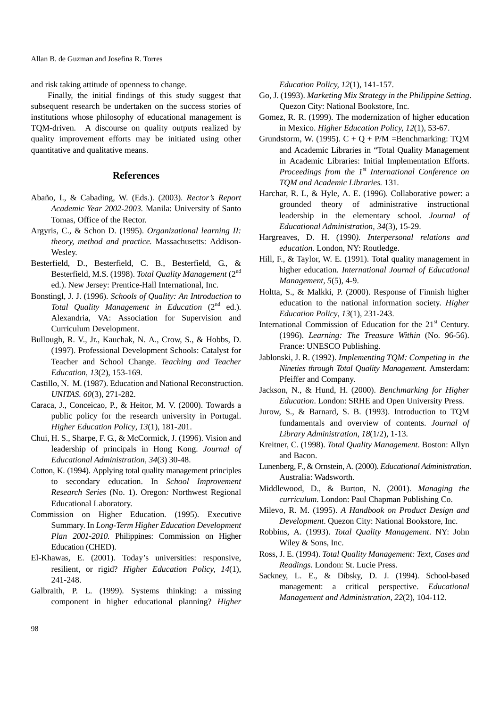Allan B. de Guzman and Josefina R. Torres

and risk taking attitude of openness to change.

Finally, the initial findings of this study suggest that subsequent research be undertaken on the success stories of institutions whose philosophy of educational management is TQM-driven. A discourse on quality outputs realized by quality improvement efforts may be initiated using other quantitative and qualitative means.

## **References**

- Abaño, I., & Cabading, W. (Eds.). (2003). *Rector's Report Academic Year 2002-2003.* Manila: University of Santo Tomas, Office of the Rector.
- Argyris, C., & Schon D. (1995). *Organizational learning II: theory, method and practice.* Massachusetts: Addison-Wesley.
- Besterfield, D., Besterfield, C. B., Besterfield, G., & Besterfield, M.S. (1998). *Total Quality Management* (2nd ed.). New Jersey: Prentice-Hall International, Inc.
- Bonstingl, J. J. (1996). *Schools of Quality: An Introduction to Total Quality Management in Education* (2<sup>nd</sup> ed.). Alexandria, VA: Association for Supervision and Curriculum Development.
- Bullough, R. V., Jr., Kauchak, N. A., Crow, S., & Hobbs, D. (1997). Professional Development Schools: Catalyst for Teacher and School Change. *Teaching and Teacher Education, 13*(2), 153-169.
- Castillo, N. M. (1987). Education and National Reconstruction. *UNITAS. 60*(3), 271-282.
- Caraca, J., Conceicao, P., & Heitor, M. V. (2000). Towards a public policy for the research university in Portugal. *Higher Education Policy*, *13*(1), 181-201.
- Chui, H. S., Sharpe, F. G., & McCormick, J. (1996). Vision and leadership of principals in Hong Kong. *Journal of Educational Administration, 34*(3) 30-48.
- Cotton, K. (1994). Applying total quality management principles to secondary education. In *School Improvement Research Series* (No. 1). Oregon*:* Northwest Regional Educational Laboratory.
- Commission on Higher Education. (1995). Executive Summary. In *Long-Term Higher Education Development Plan 2001-2010.* Philippines: Commission on Higher Education (CHED).
- El-Khawas, E. (2001). Today's universities: responsive, resilient, or rigid? *Higher Education Policy, 14*(1), 241-248.
- Galbraith, P. L. (1999). Systems thinking: a missing component in higher educational planning? *Higher*

*Education Policy, 12*(1), 141-157.

- Go, J. (1993). *Marketing Mix Strategy in the Philippine Setting*. Quezon City: National Bookstore, Inc.
- Gomez, R. R. (1999). The modernization of higher education in Mexico. *Higher Education Policy, 12*(1), 53-67.
- Grundstorm, W. (1995).  $C + Q + P/M$  =Benchmarking: TQM and Academic Libraries in "Total Quality Management in Academic Libraries: Initial Implementation Efforts. *Proceedings from the 1st International Conference on TQM and Academic Libraries.* 131*.*
- Harchar, R. L, & Hyle, A. E. (1996). Collaborative power: a grounded theory of administrative instructional leadership in the elementary school. *Journal of Educational Administration*, *34*(3), 15-29.
- Hargreaves, D. H. (1990*). Interpersonal relations and education*. London, NY: Routledge.
- Hill, F., & Taylor, W. E. (1991). Total quality management in higher education. *International Journal of Educational Management, 5*(5), 4-9.
- Holtta, S., & Malkki, P. (2000). Response of Finnish higher education to the national information society. *Higher Education Policy*, *13*(1), 231-243.
- International Commission of Education for the 21<sup>st</sup> Century. (1996). *Learning: The Treasure Within* (No. 96-56). France: UNESCO Publishing.
- Jablonski, J. R. (1992). *Implementing TQM: Competing in the Nineties through Total Quality Management.* Amsterdam: Pfeiffer and Company.
- Jackson, N., & Hund, H. (2000). *Benchmarking for Higher Education*. London: SRHE and Open University Press.
- Jurow, S., & Barnard, S. B. (1993). Introduction to TQM fundamentals and overview of contents. *Journal of Library Administration*, *18*(1/2), 1-13.
- Kreitner, C. (1998). *Total Quality Management*. Boston: Allyn and Bacon.
- Lunenberg, F., & Ornstein, A. (2000). *Educational Administration*. Australia: Wadsworth.
- Middlewood, D., & Burton, N. (2001). *Managing the curriculum*. London: Paul Chapman Publishing Co.
- Milevo, R. M. (1995). *A Handbook on Product Design and Development*. Quezon City: National Bookstore, Inc.
- Robbins, A. (1993). *Total Quality Management*. NY: John Wiley & Sons, Inc.
- Ross, J. E. (1994). *Total Quality Management: Text, Cases and Readings.* London: St. Lucie Press.
- Sackney, L. E., & Dibsky, D. J. (1994). School-based management: a critical perspective. *Educational Management and Administration, 22*(2)*,* 104-112.